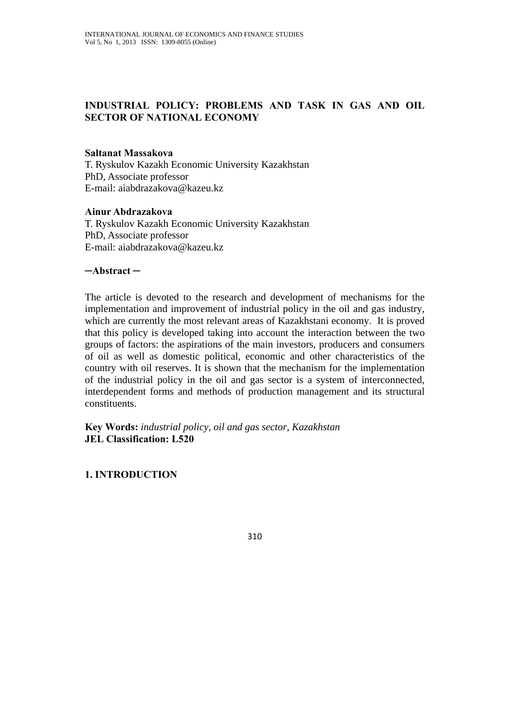# **INDUSTRIAL POLICY: PROBLEMS AND TASK IN GAS AND OIL SECTOR OF NATIONAL ECONOMY**

### **Saltanat Massakova**

T. Ryskulov Kazakh Economic University Kazakhstan PhD, Associate professor E-mail: aiabdrazakova@kazeu.kz

#### **Ainur Abdrazakova**

T. Ryskulov Kazakh Economic University Kazakhstan PhD, Associate professor E-mail: aiabdrazakova@kazeu.kz

### **─Abstract ─**

The article is devoted to the research and development of mechanisms for the implementation and improvement of industrial policy in the oil and gas industry, which are currently the most relevant areas of Kazakhstani economy. It is proved that this policy is developed taking into account the interaction between the two groups of factors: the aspirations of the main investors, producers and consumers of oil as well as domestic political, economic and other characteristics of the country with oil reserves. It is shown that the mechanism for the implementation of the industrial policy in the oil and gas sector is a system of interconnected, interdependent forms and methods of production management and its structural constituents.

**Key Words:** *industrial policy, oil and gas sector, Kazakhstan*  **JEL Classification: L520** 

### **1. INTRODUCTION**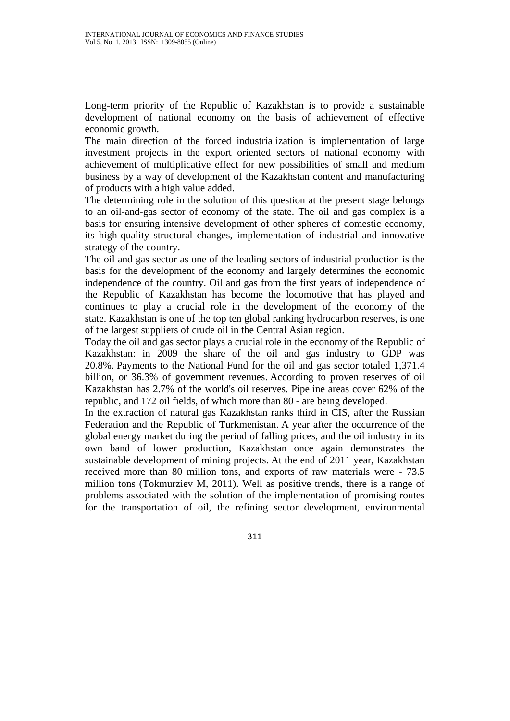Long-term priority of the Republic of Kazakhstan is to provide a sustainable development of national economy on the basis of achievement of effective economic growth.

The main direction of the forced industrialization is implementation of large investment projects in the export oriented sectors of national economy with achievement of multiplicative effect for new possibilities of small and medium business by a way of development of the Kazakhstan content and manufacturing of products with a high value added.

The determining role in the solution of this question at the present stage belongs to an oil-and-gas sector of economy of the state. The oil and gas complex is a basis for ensuring intensive development of other spheres of domestic economy, its high-quality structural changes, implementation of industrial and innovative strategy of the country.

The oil and gas sector as one of the leading sectors of industrial production is the basis for the development of the economy and largely determines the economic independence of the country. Oil and gas from the first years of independence of the Republic of Kazakhstan has become the locomotive that has played and continues to play a crucial role in the development of the economy of the state. Kazakhstan is one of the top ten global ranking hydrocarbon reserves, is one of the largest suppliers of crude oil in the Central Asian region.

Today the oil and gas sector plays a crucial role in the economy of the Republic of Kazakhstan: in 2009 the share of the oil and gas industry to GDP was 20.8%. Payments to the National Fund for the oil and gas sector totaled 1,371.4 billion, or 36.3% of government revenues. According to proven reserves of oil Kazakhstan has 2.7% of the world's oil reserves. Pipeline areas cover 62% of the republic, and 172 oil fields, of which more than 80 - are being developed.

In the extraction of natural gas Kazakhstan ranks third in CIS, after the Russian Federation and the Republic of Turkmenistan. A year after the occurrence of the global energy market during the period of falling prices, and the oil industry in its own band of lower production, Kazakhstan once again demonstrates the sustainable development of mining projects. At the end of 2011 year, Kazakhstan received more than 80 million tons, and exports of raw materials were - 73.5 million tons (Tokmurziev M, 2011). Well as positive trends, there is a range of problems associated with the solution of the implementation of promising routes for the transportation of oil, the refining sector development, environmental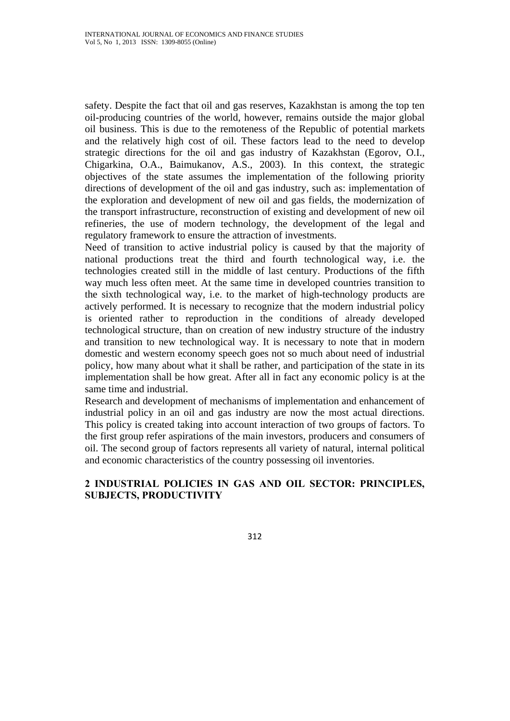safety. Despite the fact that oil and gas reserves, Kazakhstan is among the top ten oil-producing countries of the world, however, remains outside the major global oil business. This is due to the remoteness of the Republic of potential markets and the relatively high cost of oil. These factors lead to the need to develop strategic directions for the oil and gas industry of Kazakhstan (Egorov, O.I., Chigarkina, O.A., Baimukanov, A.S., 2003). In this context, the strategic objectives of the state assumes the implementation of the following priority directions of development of the oil and gas industry, such as: implementation of the exploration and development of new oil and gas fields, the modernization of the transport infrastructure, reconstruction of existing and development of new oil refineries, the use of modern technology, the development of the legal and regulatory framework to ensure the attraction of investments.

Need of transition to active industrial policy is caused by that the majority of national productions treat the third and fourth technological way, i.e. the technologies created still in the middle of last century. Productions of the fifth way much less often meet. At the same time in developed countries transition to the sixth technological way, i.e. to the market of high-technology products are actively performed. It is necessary to recognize that the modern industrial policy is oriented rather to reproduction in the conditions of already developed technological structure, than on creation of new industry structure of the industry and transition to new technological way. It is necessary to note that in modern domestic and western economy speech goes not so much about need of industrial policy, how many about what it shall be rather, and participation of the state in its implementation shall be how great. After all in fact any economic policy is at the same time and industrial.

Research and development of mechanisms of implementation and enhancement of industrial policy in an oil and gas industry are now the most actual directions. This policy is created taking into account interaction of two groups of factors. To the first group refer aspirations of the main investors, producers and consumers of oil. The second group of factors represents all variety of natural, internal political and economic characteristics of the country possessing oil inventories.

## **2 INDUSTRIAL POLICIES IN GAS AND OIL SECTOR: PRINCIPLES, SUBJECTS, PRODUCTIVITY**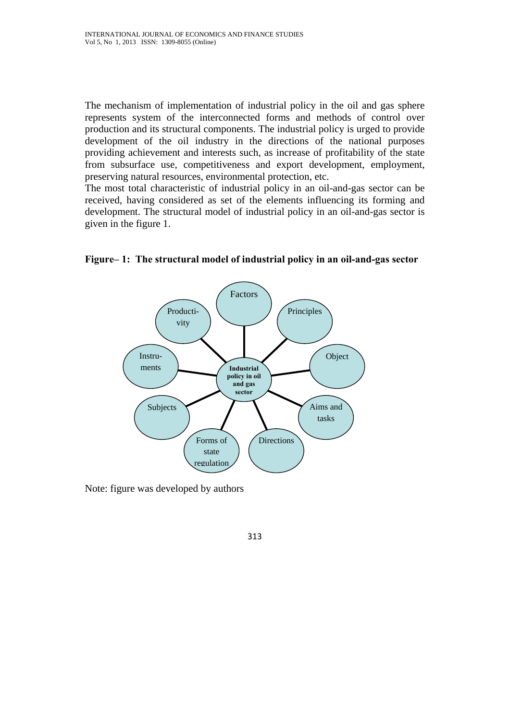The mechanism of implementation of industrial policy in the oil and gas sphere represents system of the interconnected forms and methods of control over production and its structural components. The industrial policy is urged to provide development of the oil industry in the directions of the national purposes providing achievement and interests such, as increase of profitability of the state from subsurface use, competitiveness and export development, employment, preserving natural resources, environmental protection, etc.

The most total characteristic of industrial policy in an oil-and-gas sector can be received, having considered as set of the elements influencing its forming and development. The structural model of industrial policy in an oil-and-gas sector is given in the figure 1.



**Figure– 1: The structural model of industrial policy in an oil-and-gas sector** 

Note: figure was developed by authors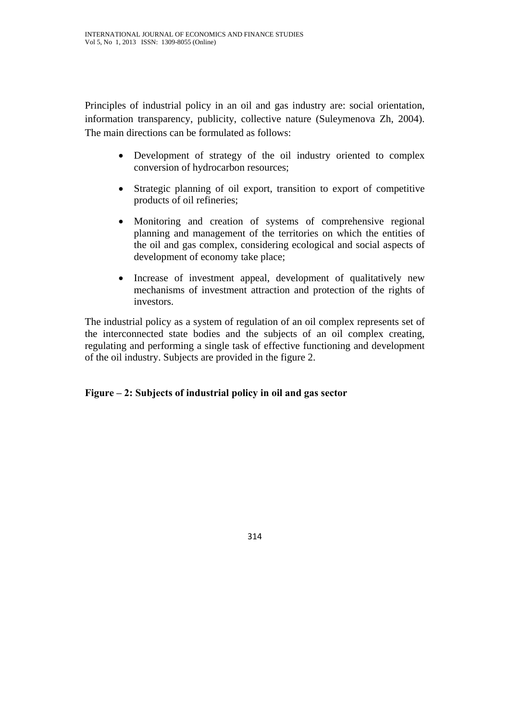Principles of industrial policy in an oil and gas industry are: social orientation, information transparency, publicity, collective nature (Suleymenova Zh, 2004). The main directions can be formulated as follows:

- Development of strategy of the oil industry oriented to complex conversion of hydrocarbon resources;
- Strategic planning of oil export, transition to export of competitive products of oil refineries;
- Monitoring and creation of systems of comprehensive regional planning and management of the territories on which the entities of the oil and gas complex, considering ecological and social aspects of development of economy take place;
- Increase of investment appeal, development of qualitatively new mechanisms of investment attraction and protection of the rights of investors.

The industrial policy as a system of regulation of an oil complex represents set of the interconnected state bodies and the subjects of an oil complex creating, regulating and performing a single task of effective functioning and development of the oil industry. Subjects are provided in the figure 2.

# **Figure – 2: Subjects of industrial policy in oil and gas sector**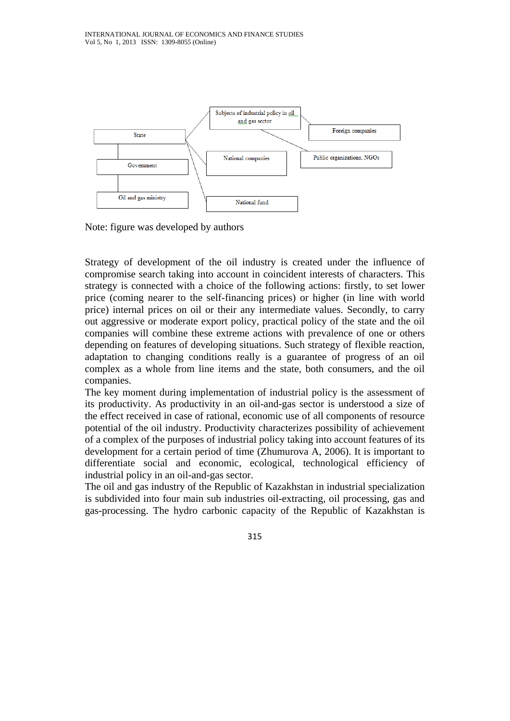

Note: figure was developed by authors

Strategy of development of the oil industry is created under the influence of compromise search taking into account in coincident interests of characters. This strategy is connected with a choice of the following actions: firstly, to set lower price (coming nearer to the self-financing prices) or higher (in line with world price) internal prices on oil or their any intermediate values. Secondly, to carry out aggressive or moderate export policy, practical policy of the state and the oil companies will combine these extreme actions with prevalence of one or others depending on features of developing situations. Such strategy of flexible reaction, adaptation to changing conditions really is a guarantee of progress of an oil complex as a whole from line items and the state, both consumers, and the oil companies.

The key moment during implementation of industrial policy is the assessment of its productivity. As productivity in an oil-and-gas sector is understood a size of the effect received in case of rational, economic use of all components of resource potential of the oil industry. Productivity characterizes possibility of achievement of a complex of the purposes of industrial policy taking into account features of its development for a certain period of time (Zhumurova A, 2006). It is important to differentiate social and economic, ecological, technological efficiency of industrial policy in an oil-and-gas sector.

The oil and gas industry of the Republic of Kazakhstan in industrial specialization is subdivided into four main sub industries oil-extracting, oil processing, gas and gas-processing. The hydro carbonic capacity of the Republic of Kazakhstan is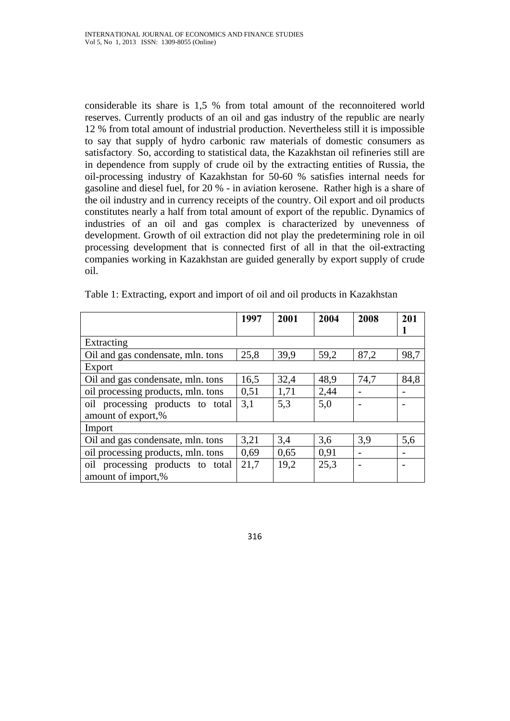considerable its share is 1,5 % from total amount of the reconnoitered world reserves. Currently products of an oil and gas industry of the republic are nearly 12 % from total amount of industrial production. Nevertheless still it is impossible to say that supply of hydro carbonic raw materials of domestic consumers as satisfactory. So, according to statistical data, the Kazakhstan oil refineries still are in dependence from supply of crude oil by the extracting entities of Russia, the oil-processing industry of Kazakhstan for 50-60 % satisfies internal needs for gasoline and diesel fuel, for 20 % - in aviation kerosene. Rather high is a share of the oil industry and in currency receipts of the country. Oil export and oil products constitutes nearly a half from total amount of export of the republic. Dynamics of industries of an oil and gas complex is characterized by unevenness of development. Growth of oil extraction did not play the predetermining role in oil processing development that is connected first of all in that the oil-extracting companies working in Kazakhstan are guided generally by export supply of crude oil.

|                                    | 1997 | 2001 | 2004 | 2008 | 201  |
|------------------------------------|------|------|------|------|------|
|                                    |      |      |      |      |      |
| Extracting                         |      |      |      |      |      |
| Oil and gas condensate, mln. tons  | 25,8 | 39,9 | 59,2 | 87,2 | 98,7 |
| Export                             |      |      |      |      |      |
| Oil and gas condensate, mln. tons  | 16,5 | 32,4 | 48,9 | 74,7 | 84,8 |
| oil processing products, mln. tons | 0,51 | 1,71 | 2,44 |      |      |
| oil processing products to total   | 3,1  | 5,3  | 5,0  |      |      |
| amount of export,%                 |      |      |      |      |      |
| Import                             |      |      |      |      |      |
| Oil and gas condensate, mln. tons  | 3,21 | 3,4  | 3,6  | 3,9  | 5,6  |
| oil processing products, mln. tons | 0,69 | 0,65 | 0,91 |      |      |
| oil processing products to total   | 21,7 | 19,2 | 25,3 |      |      |
| amount of import,%                 |      |      |      |      |      |

Table 1: Extracting, export and import of oil and oil products in Kazakhstan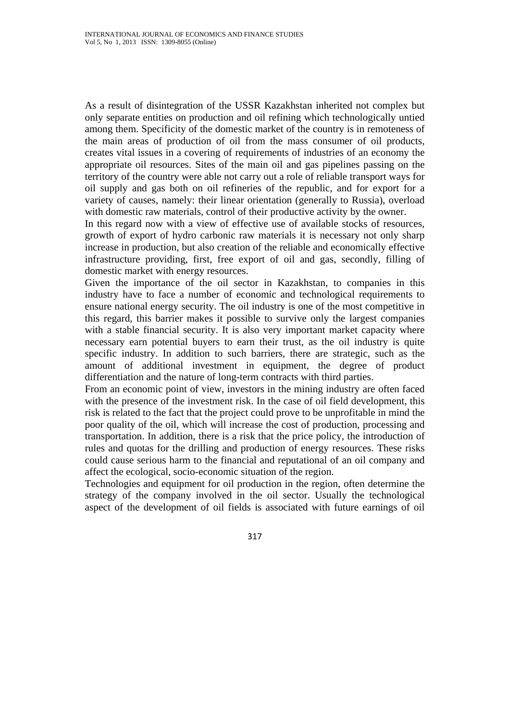As a result of disintegration of the USSR Kazakhstan inherited not complex but only separate entities on production and oil refining which technologically untied among them. Specificity of the domestic market of the country is in remoteness of the main areas of production of oil from the mass consumer of oil products, creates vital issues in a covering of requirements of industries of an economy the appropriate oil resources. Sites of the main oil and gas pipelines passing on the territory of the country were able not carry out a role of reliable transport ways for oil supply and gas both on oil refineries of the republic, and for export for a variety of causes, namely: their linear orientation (generally to Russia), overload with domestic raw materials, control of their productive activity by the owner.

In this regard now with a view of effective use of available stocks of resources, growth of export of hydro carbonic raw materials it is necessary not only sharp increase in production, but also creation of the reliable and economically effective infrastructure providing, first, free export of oil and gas, secondly, filling of domestic market with energy resources.

Given the importance of the oil sector in Kazakhstan, to companies in this industry have to face a number of economic and technological requirements to ensure national energy security. The oil industry is one of the most competitive in this regard, this barrier makes it possible to survive only the largest companies with a stable financial security. It is also very important market capacity where necessary earn potential buyers to earn their trust, as the oil industry is quite specific industry. In addition to such barriers, there are strategic, such as the amount of additional investment in equipment, the degree of product differentiation and the nature of long-term contracts with third parties.

From an economic point of view, investors in the mining industry are often faced with the presence of the investment risk. In the case of oil field development, this risk is related to the fact that the project could prove to be unprofitable in mind the poor quality of the oil, which will increase the cost of production, processing and transportation. In addition, there is a risk that the price policy, the introduction of rules and quotas for the drilling and production of energy resources. These risks could cause serious harm to the financial and reputational of an oil company and affect the ecological, socio-economic situation of the region.

Technologies and equipment for oil production in the region, often determine the strategy of the company involved in the oil sector. Usually the technological aspect of the development of oil fields is associated with future earnings of oil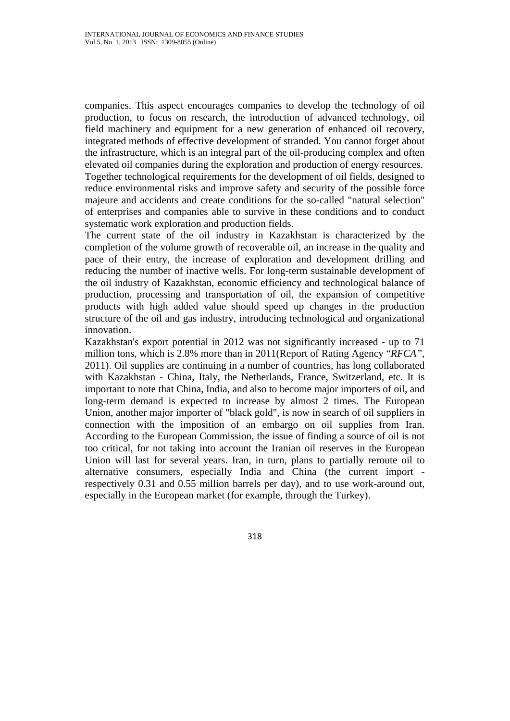companies. This aspect encourages companies to develop the technology of oil production, to focus on research, the introduction of advanced technology, oil field machinery and equipment for a new generation of enhanced oil recovery, integrated methods of effective development of stranded. You cannot forget about the infrastructure, which is an integral part of the oil-producing complex and often elevated oil companies during the exploration and production of energy resources. Together technological requirements for the development of oil fields, designed to reduce environmental risks and improve safety and security of the possible force majeure and accidents and create conditions for the so-called "natural selection" of enterprises and companies able to survive in these conditions and to conduct systematic work exploration and production fields.

The current state of the oil industry in Kazakhstan is characterized by the completion of the volume growth of recoverable oil, an increase in the quality and pace of their entry, the increase of exploration and development drilling and reducing the number of inactive wells. For long-term sustainable development of the oil industry of Kazakhstan, economic efficiency and technological balance of production, processing and transportation of oil, the expansion of competitive products with high added value should speed up changes in the production structure of the oil and gas industry, introducing technological and organizational innovation.

Kazakhstan's export potential in 2012 was not significantly increased - up to 71 million tons, which is 2.8% more than in 2011(Report of Rating Agency "*RFCA"*, 2011). Oil supplies are continuing in a number of countries, has long collaborated with Kazakhstan - China, Italy, the Netherlands, France, Switzerland, etc. It is important to note that China, India, and also to become major importers of oil, and long-term demand is expected to increase by almost 2 times. The European Union, another major importer of "black gold", is now in search of oil suppliers in connection with the imposition of an embargo on oil supplies from Iran. According to the European Commission, the issue of finding a source of oil is not too critical, for not taking into account the Iranian oil reserves in the European Union will last for several years. Iran, in turn, plans to partially reroute oil to alternative consumers, especially India and China (the current import respectively 0.31 and 0.55 million barrels per day), and to use work-around out, especially in the European market (for example, through the Turkey).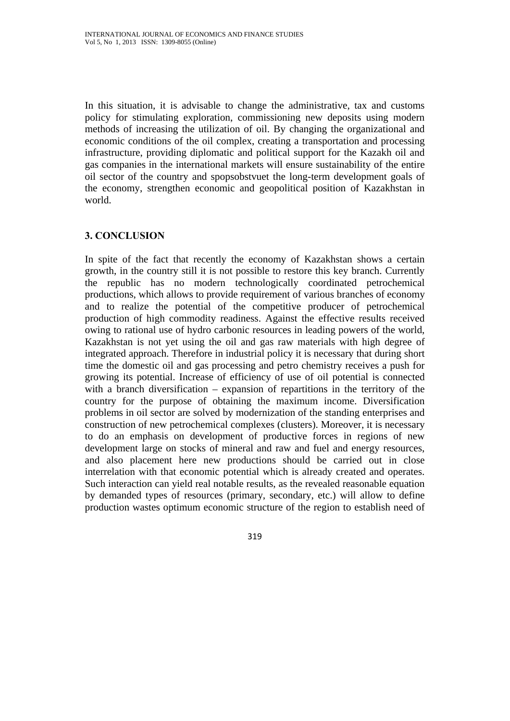In this situation, it is advisable to change the administrative, tax and customs policy for stimulating exploration, commissioning new deposits using modern methods of increasing the utilization of oil. By changing the organizational and economic conditions of the oil complex, creating a transportation and processing infrastructure, providing diplomatic and political support for the Kazakh oil and gas companies in the international markets will ensure sustainability of the entire oil sector of the country and spopsobstvuet the long-term development goals of the economy, strengthen economic and geopolitical position of Kazakhstan in world.

# **3. CONCLUSION**

In spite of the fact that recently the economy of Kazakhstan shows a certain growth, in the country still it is not possible to restore this key branch. Currently the republic has no modern technologically coordinated petrochemical productions, which allows to provide requirement of various branches of economy and to realize the potential of the competitive producer of petrochemical production of high commodity readiness. Against the effective results received owing to rational use of hydro carbonic resources in leading powers of the world, Kazakhstan is not yet using the oil and gas raw materials with high degree of integrated approach. Therefore in industrial policy it is necessary that during short time the domestic oil and gas processing and petro chemistry receives a push for growing its potential. Increase of efficiency of use of oil potential is connected with a branch diversification – expansion of repartitions in the territory of the country for the purpose of obtaining the maximum income. Diversification problems in oil sector are solved by modernization of the standing enterprises and construction of new petrochemical complexes (clusters). Moreover, it is necessary to do an emphasis on development of productive forces in regions of new development large on stocks of mineral and raw and fuel and energy resources, and also placement here new productions should be carried out in close interrelation with that economic potential which is already created and operates. Such interaction can yield real notable results, as the revealed reasonable equation by demanded types of resources (primary, secondary, etc.) will allow to define production wastes optimum economic structure of the region to establish need of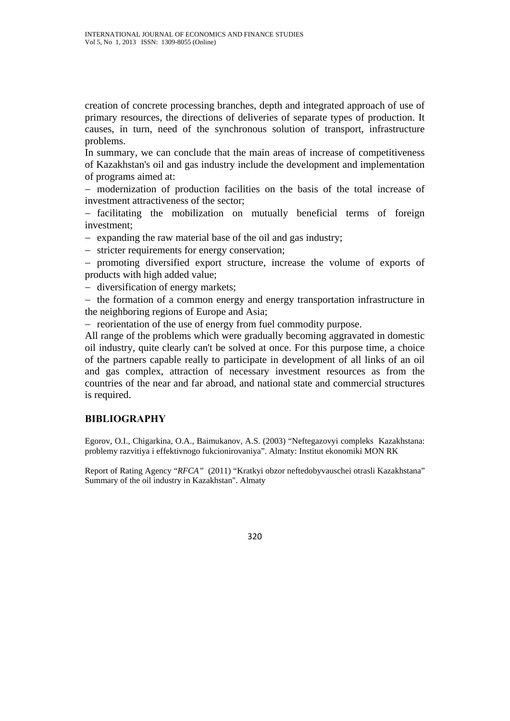creation of concrete processing branches, depth and integrated approach of use of primary resources, the directions of deliveries of separate types of production. It causes, in turn, need of the synchronous solution of transport, infrastructure problems.

In summary, we can conclude that the main areas of increase of competitiveness of Kazakhstan's oil and gas industry include the development and implementation of programs aimed at:

− modernization of production facilities on the basis of the total increase of investment attractiveness of the sector;

− facilitating the mobilization on mutually beneficial terms of foreign investment;

− expanding the raw material base of the oil and gas industry;

− stricter requirements for energy conservation;

− promoting diversified export structure, increase the volume of exports of products with high added value;

− diversification of energy markets;

− the formation of a common energy and energy transportation infrastructure in the neighboring regions of Europe and Asia;

− reorientation of the use of energy from fuel commodity purpose.

All range of the problems which were gradually becoming aggravated in domestic oil industry, quite clearly can't be solved at once. For this purpose time, a choice of the partners capable really to participate in development of all links of an oil and gas complex, attraction of necessary investment resources as from the countries of the near and far abroad, and national state and commercial structures is required.

## **BIBLIOGRAPHY**

Egorov, O.I., Chigarkina, O.A., Baimukanov, A.S. (2003) "Neftegazovyi compleks Kazakhstana: problemy razvitiya i effektivnogo fukcionirovaniya". Almaty: Institut ekonomiki MON RK

Report of Rating Agency "*RFCA"* (2011) "Kratkyi obzor neftedobyvauschei otrasli Kazakhstana" Summary of the oil industry in Kazakhstan". Almaty